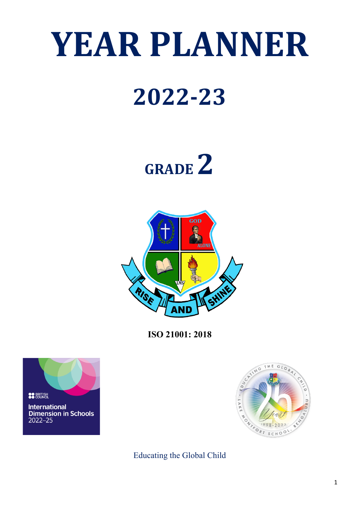# **YEAR PLANNER**

# **2022-23**





**ISO 21001: 2018**





Educating the Global Child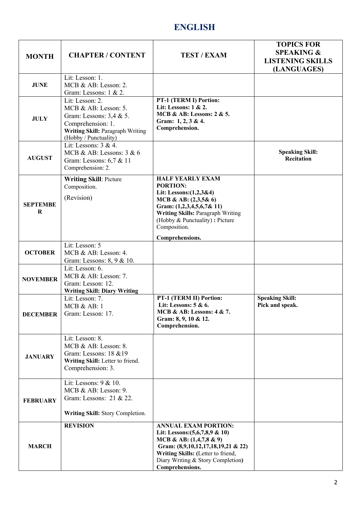## **ENGLISH**

| <b>MONTH</b>         | <b>CHAPTER / CONTENT</b>                                                                                                                                        | <b>TEST / EXAM</b>                                                                                                                                                                                                                | <b>TOPICS FOR</b><br><b>SPEAKING &amp;</b><br><b>LISTENING SKILLS</b><br>(LANGUAGES) |
|----------------------|-----------------------------------------------------------------------------------------------------------------------------------------------------------------|-----------------------------------------------------------------------------------------------------------------------------------------------------------------------------------------------------------------------------------|--------------------------------------------------------------------------------------|
| <b>JUNE</b>          | Lit: Lesson: 1.<br>MCB & AB: Lesson: 2.<br>Gram: Lessons: 1 & 2.                                                                                                |                                                                                                                                                                                                                                   |                                                                                      |
| <b>JULY</b>          | Lit: Lesson: 2.<br>MCB & AB: Lesson: 5.<br>Gram: Lessons: $3,4 \& 5$ .<br>Comprehension: 1.<br><b>Writing Skill: Paragraph Writing</b><br>(Hobby / Punctuality) | PT-1 (TERM I) Portion:<br>Lit: Lessons: 1 & 2.<br>MCB & AB: Lessons: 2 & 5.<br>Gram: 1, 2, 3 & 4.<br>Comprehension.                                                                                                               |                                                                                      |
| <b>AUGUST</b>        | Lit: Lessons: $3 & 4$ .<br>MCB & AB: Lessons: $3 & 6$<br>Gram: Lessons: 6,7 & 11<br>Comprehension: 2.                                                           |                                                                                                                                                                                                                                   | <b>Speaking Skill:</b><br><b>Recitation</b>                                          |
| <b>SEPTEMBE</b><br>R | <b>Writing Skill: Picture</b><br>Composition.<br>(Revision)                                                                                                     | <b>HALF YEARLY EXAM</b><br><b>PORTION:</b><br>Lit: Lessons: (1,2,3&4)<br>MCB & AB: $(2,3,5\& 6)$<br>Gram: $(1,2,3,4,5,6,7\& 11)$<br><b>Writing Skills: Paragraph Writing</b><br>(Hobby & Punctuality): Picture<br>Composition.    |                                                                                      |
| <b>OCTOBER</b>       | Lit: Lesson: 5<br>MCB & AB: Lesson: 4.<br>Gram: Lessons: 8, 9 & 10.                                                                                             | Comprehensions.                                                                                                                                                                                                                   |                                                                                      |
| <b>NOVEMBER</b>      | Lit: Lesson: 6.<br>MCB & AB: Lesson: 7.<br>Gram: Lesson: 12.<br><b>Writing Skill: Diary Writing</b>                                                             |                                                                                                                                                                                                                                   |                                                                                      |
| <b>DECEMBER</b>      | Lit: Lesson: 7.<br>MCB & AB: 1<br>Gram: Lesson: 17.                                                                                                             | PT-1 (TERM II) Portion:<br>Lit: Lessons: $5 & 6$ .<br>MCB & AB: Lessons: 4 & 7.<br>Gram: 8, 9, 10 & 12.<br>Comprehension.                                                                                                         | <b>Speaking Skill:</b><br>Pick and speak.                                            |
| <b>JANUARY</b>       | Lit: Lesson: 8.<br>MCB & AB: Lesson: 8.<br>Gram: Lessons: 18 & 19<br>Writing Skill: Letter to friend.<br>Comprehension: 3.                                      |                                                                                                                                                                                                                                   |                                                                                      |
| <b>FEBRUARY</b>      | Lit: Lessons: $9 & 10$ .<br>MCB & AB: Lesson: 9.<br>Gram: Lessons: 21 & 22.<br>Writing Skill: Story Completion.                                                 |                                                                                                                                                                                                                                   |                                                                                      |
| <b>MARCH</b>         | <b>REVISION</b>                                                                                                                                                 | <b>ANNUAL EXAM PORTION:</b><br>Lit: Lessons: $(5,6,7,8,9 \& 10)$<br>MCB & AB: $(1,4,7,8$ & 9)<br>Gram: (8,9,10,12,17,18,19,21 & 22)<br>Writing Skills: (Letter to friend,<br>Diary Writing & Story Completion)<br>Comprehensions. |                                                                                      |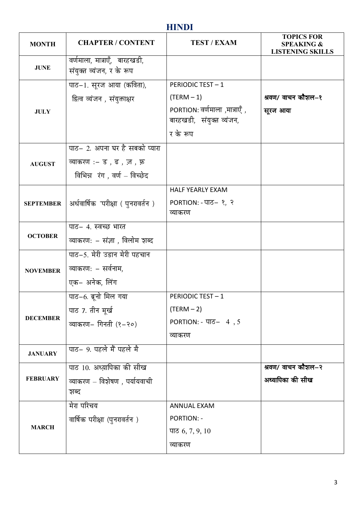# **HINDI**

| <b>MONTH</b>     | <b>CHAPTER / CONTENT</b>                                                                                                  | <b>TEST / EXAM</b>                                                                                              | <b>TOPICS FOR</b><br><b>SPEAKING &amp;</b><br><b>LISTENING SKILLS</b> |
|------------------|---------------------------------------------------------------------------------------------------------------------------|-----------------------------------------------------------------------------------------------------------------|-----------------------------------------------------------------------|
| <b>JUNE</b>      | वर्णमाला, मात्राएँ,  बारहखडी,<br>संयुक्त व्यंजन, र के रूप                                                                 |                                                                                                                 |                                                                       |
| <b>JULY</b>      | पाठ–1. सूरज आया (कविता),<br>द्वित्व व्यंजन , संयुक्ताक्षर<br>पाठ- 2. अपना घर है सबको प्यारा<br>व्याकरण :- ड , ढ , ज़ , फ़ | <b>PERIODIC TEST-1</b><br>$(TERM - 1)$<br>PORTION: वर्णमाला ,मात्राएँ ,<br>बारहखडी, संयुक्त व्यंजन,<br>र के रूप | श्रवण/ वाचन कौशल-१<br>सूरज आया                                        |
| <b>AUGUST</b>    | विभिन्न रंग, वर्ण - विच्छेद                                                                                               |                                                                                                                 |                                                                       |
| <b>SEPTEMBER</b> | अर्धवार्षिक परीक्षा (पुनरावर्तन)                                                                                          | <b>HALF YEARLY EXAM</b><br>PORTION: $-TT5-$ ?, ?<br>व्याकरण                                                     |                                                                       |
| <b>OCTOBER</b>   | पाठ- 4. स्वच्छ भारत<br>व्याकरण: – संज्ञा , विलोम शब्द                                                                     |                                                                                                                 |                                                                       |
| <b>NOVEMBER</b>  | पाठ-5. मेरी उडान मेरी पहचान<br>व्याकरण: – सर्वनाम,<br>एक– अनेक, लिंग                                                      |                                                                                                                 |                                                                       |
| <b>DECEMBER</b>  | पाठ-6. ब्रूनो मिल गया<br>पाठ 7. तीन मूर्ख<br>व्याकरण– गिनती (१–२०)                                                        | <b>PERIODIC TEST - 1</b><br>$(TERM - 2)$<br>PORTION: $ \Pi$ <sup><math>-</math></sup> 4, 5<br>व्याकरण           |                                                                       |
| <b>JANUARY</b>   | पाठ- 9. पहले मैं पहले मै                                                                                                  |                                                                                                                 |                                                                       |
| <b>FEBRUARY</b>  | पाठ 10. अध्य़ापिका की सीख<br>व्याकरण – विशेषण , पर्यायवाची<br>शब्द                                                        |                                                                                                                 | श्रवण/ वाचन कौशल–२<br>अध्यापिका की सीख                                |
| <b>MARCH</b>     | मेरा परिचय<br>वार्षिक परीक्षा (पुनरावर्तन )                                                                               | <b>ANNUAL EXAM</b><br><b>PORTION: -</b><br>पाठ $6, 7, 9, 10$<br>व्याकरण                                         |                                                                       |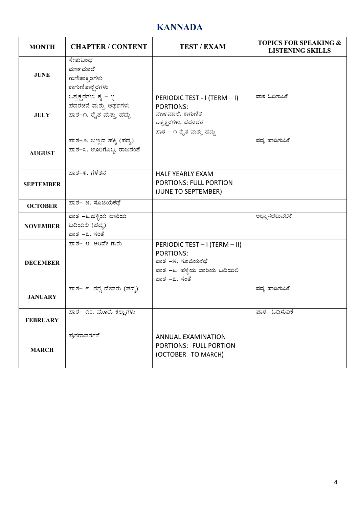# **KANNADA**

| <b>MONTH</b>     | <b>CHAPTER / CONTENT</b>                                                       | <b>TEST / EXAM</b>                                                                                                      | <b>TOPICS FOR SPEAKING &amp;</b><br><b>LISTENING SKILLS</b> |
|------------------|--------------------------------------------------------------------------------|-------------------------------------------------------------------------------------------------------------------------|-------------------------------------------------------------|
| <b>JUNE</b>      | ಸೇತುಬಂಧ<br>ವರ್ಣಮಾಲೆ<br>ಗುಣಿತಾಕ್ಷ ರಗಳು<br>ಕಾಗುಣಿತಾಕ್ಷ್ಮರಗಳು                     |                                                                                                                         |                                                             |
| <b>JULY</b>      | <u>ಒತ್ತಕ್ಷರಗಳು ಕ್ಕ – ಳ</u> ೃ<br>ಪದರಚನೆ ಮತ್ತು ಅರ್ಥಗಳು<br>ಪಾಠ-೧. ರೈತ ಮತ್ತು ಹದ್ದು | PERIODIC TEST - I (TERM - I)<br><b>PORTIONS:</b><br>ವರ್ಣಮಾಲೆ, ಕಾಗುಣಿತ<br>ಒತ್ತಕ್ಷರಗಳು, ಪದರಚನೆ<br>ಪಾಠ – ೧ ರೈತ ಮತ್ತು ಹದ್ದು | ಪಾಠ ಓದಿಸುವಿಕೆ                                               |
| <b>AUGUST</b>    | ಪಾಠ-೨. ಬಣ್ಣದ ಹಕ್ಕಿ (ಪದ್ಯ)<br>ಪಾಠ–೩. ಊರಿಗೊಬ್ಬ ರಾಜನಂತೆ                           |                                                                                                                         | ಪದ್ಮ ಹಾಡಿಸುವಿಕೆ                                             |
| <b>SEPTEMBER</b> | ಪಾಠ–೪. ಗೆಳೆತನ                                                                  | <b>HALF YEARLY EXAM</b><br><b>PORTIONS: FULL PORTION</b><br>(JUNE TO SEPTEMBER)                                         |                                                             |
| <b>OCTOBER</b>   | ಪಾಠ– ೫. ಸೂಜಿಯಕಥೆ                                                               |                                                                                                                         |                                                             |
| <b>NOVEMBER</b>  | ಪಾಠ –೬.ಹಳ್ಳಿಯ ದಾರಿಯ<br>ಬದಿಯಲಿ (ಪದ್ಧ)<br>ಪಾಠ –೭. ಸಂತೆ                           |                                                                                                                         | ಅಭ್ಯಾಸಚಟುವಟಿಕೆ                                              |
| <b>DECEMBER</b>  | ಪಾಠ– ೮. ಅರಿವೇ ಗುರು                                                             | PERIODIC TEST - I (TERM - II)<br><b>PORTIONS:</b><br>ಪಾಠ –೫. ಸೂಜಿಯಕಥೆ<br>ಪಾಠ –೬. ಹಳ್ಳಿಯ ದಾರಿಯ ಬದಿಯಲಿ<br>ಪಾಠ –೭. ಸಂತೆ    |                                                             |
| <b>JANUARY</b>   | <u>ಪಾಠ– ೯. ನನ್ನ</u> ದೇವರು (ಪದ್ಯ)                                               |                                                                                                                         | ಪದ್ಯ ಹಾಡಿಸುವಿಕೆ                                             |
| <b>FEBRUARY</b>  | ಪಾಠ– ೧೦. ಮೂರು ಕಲ್ಲುಗಳು                                                         |                                                                                                                         | ಪಾಠ ಓದಿಸುವಿಕೆ                                               |
| <b>MARCH</b>     | ಫುನರಾವರ್ತನೆ                                                                    | <b>ANNUAL EXAMINATION</b><br>PORTIONS: FULL PORTION<br>(OCTOBER TO MARCH)                                               |                                                             |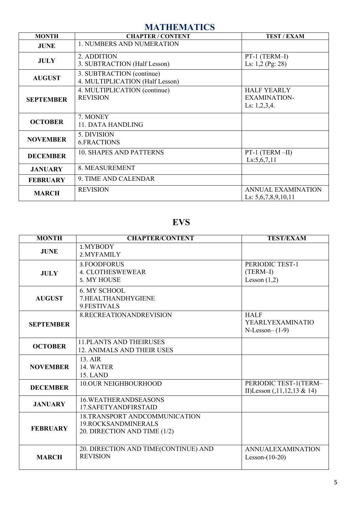## **MATHEMATICS**

| <b>MONTH</b>     | <b>CHAPTER / CONTENT</b>                                     | <b>TEST / EXAM</b>                                           |
|------------------|--------------------------------------------------------------|--------------------------------------------------------------|
| <b>JUNE</b>      | 1. NUMBERS AND NUMERATION                                    |                                                              |
| <b>JULY</b>      | 2. ADDITION<br>3. SUBTRACTION (Half Lesson)                  | PT-1 (TERM-I)<br>Ls: $1,2$ (Pg: 28)                          |
| <b>AUGUST</b>    | 3. SUBTRACTION (continue)<br>4. MULTIPLICATION (Half Lesson) |                                                              |
| <b>SEPTEMBER</b> | 4. MULTIPLICATION (continue)<br><b>REVISION</b>              | <b>HALF YEARLY</b><br><b>EXAMINATION-</b><br>Ls: $1,2,3,4$ . |
| <b>OCTOBER</b>   | 7. MONEY<br><b>11. DATA HANDLING</b>                         |                                                              |
| <b>NOVEMBER</b>  | 5. DIVISION<br><b>6.FRACTIONS</b>                            |                                                              |
| <b>DECEMBER</b>  | <b>10. SHAPES AND PATTERNS</b>                               | PT-1 (TERM-II)<br>Ls:5,6,7,11                                |
| <b>JANUARY</b>   | 8. MEASUREMENT                                               |                                                              |
| <b>FEBRUARY</b>  | 9. TIME AND CALENDAR                                         |                                                              |
| <b>MARCH</b>     | <b>REVISION</b>                                              | <b>ANNUAL EXAMINATION</b><br>Ls: $5,6,7,8,9,10,11$           |

## **EVS**

| <b>MONTH</b>     | <b>CHAPTER/CONTENT</b>                                                               | <b>TEST/EXAM</b>                                           |
|------------------|--------------------------------------------------------------------------------------|------------------------------------------------------------|
| <b>JUNE</b>      | 1. MYBODY<br>2. MYFAMILY                                                             |                                                            |
| <b>JULY</b>      | 3. FOODFORUS<br><b>4. CLOTHESWEWEAR</b><br>5. MY HOUSE                               | PERIODIC TEST-1<br>$(TERM-I)$<br>Lesson $(1,2)$            |
| <b>AUGUST</b>    | 6. MY SCHOOL<br>7.HEALTHANDHYGIENE<br>9.FESTIVALS                                    |                                                            |
| <b>SEPTEMBER</b> | 8.RECREATIONANDREVISION                                                              | <b>HALF</b><br><b>YEARLYEXAMINATIO</b><br>$N-Lesson-(1-9)$ |
| <b>OCTOBER</b>   | <b>11. PLANTS AND THEIRUSES</b><br><b>12. ANIMALS AND THEIR USES</b>                 |                                                            |
| <b>NOVEMBER</b>  | 13. AIR<br>14. WATER<br><b>15. LAND</b>                                              |                                                            |
| <b>DECEMBER</b>  | <b>10.OUR NEIGHBOURHOOD</b>                                                          | PERIODIC TEST-1(TERM-<br>II)Lesson $(0.11, 12, 13 \& 14)$  |
| <b>JANUARY</b>   | <b>16. WEATHERANDSEASONS</b><br>17.SAFETYANDFIRSTAID                                 |                                                            |
| <b>FEBRUARY</b>  | 18.TRANSPORT ANDCOMMUNICATION<br>19.ROCKSANDMINERALS<br>20. DIRECTION AND TIME (1/2) |                                                            |
| <b>MARCH</b>     | 20. DIRECTION AND TIME(CONTINUE) AND<br><b>REVISION</b>                              | <b>ANNUALEXAMINATION</b><br>Lesson- $(10-20)$              |